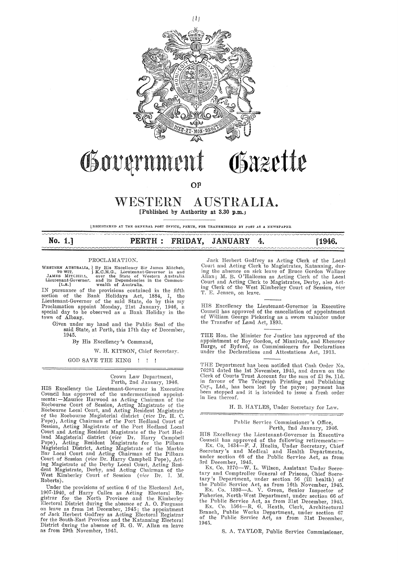

# Governmen Osazette

**OF** 

## WESTERN AUSTRALIA. **[Published by Authority at 3.30 p.m.J**

**LREGIS'r1onm AT TlU~ GENERAL }'OST Ol<'J;<'ICE, PER'l'H, b~OR TRANSMISSION BY POST AS A NEWSPAPER** 

| No. $1.]$ |  | PERTH : FRIDAY, JANUARY 4. |  | [1946. |
|-----------|--|----------------------------|--|--------|
|           |  |                            |  |        |

#### PROCLAMATION.

WESTERN AUSTRALIA, By His Excellency Sir James Mitchell, TOWIT. [K.C.M.G., Lieutenant-Governor in and JAMES MITCHELL, over the State of Western Australia Lieutenant-Governor. and its Dependencies in the Common-<br>[Lieutenant

IN pursuance of the provisions contained in the fifth section of the Bank Holidays Act, 1884, I, the Lieutenant-Governor of the said State, do by this my Proclamation appoint Monday, 21st January, 1946, a special day to be observed as a Bank Holiday in the town of Albany.

Given under my hand and the Public Seal of the said State, at Perth, this 17th day of December, 1945.

By His Excellency's Command,

W. H. KITSON, Chief Secretary.

GOD SAVE THE KING !!

#### Crown Law Department, Perth, 2nd January, 1946.

HIS Excellency the Lieutenant-Governor in Executive Council has approved of the undermentioned appoint-<br>ments:—Maurice Harwood as Acting Chairman of the Roebourne Court of Session, Acting Magistrate of the Roeboume Local Comt, and Acting Resident Magistrate of the Roebourne Magisterial district ( *vice* Dr. H. C. Pope), Acting Chairman of the Port Hedlund Comt of Session, Acting Magistrate of the Port Hedland Local Court and Acting Resident Magistrate of the Port Hed-<br>land Magisterial district *(vice D*r. Harry Campbell<br>Pope), Acting Resident Magistrate for the Pilbara Magisterial District, Acting Magistrate of the Marble Bar Local Court and Acting Chairman of the Pilbara Court of Session *(vice* Dr. Harry Campbell Pope), Acting<br>ing Magistrate of the Derby Local Court, Acting Resi-<br>dent Magistrate, Derby, and Acting Chairman of the<br>West Kimberley Court of Session *(vice* Dr. I. M. Roberts).

Under the provisions of section 6 of the Electoral Act, 1907-1940, of Harry Cullen as Acting Electoral Re-gistrar for the North Province and the Kimberle:r Electoral District during the absence of A. O. Ferguson on leave as from 1st December, 1945; the appointment<br>of Jack Herbert Godfrey as Acting Electoral Registrar for the South-East Province and the Katanning Electoral District during the absence of B. G. W. Allan on leave as from 29th November, 1945.

Jack Herbert Godfrey as Acting Clerk of the Local Court and Acting Clerk to Magistrates, Katanning, during the absence on sick leave of Bruce Gordon Wallace<br>Allan; M. B. O'Halloran as Acting Clerk of the Local<br>Court and Acting Clerk to Magistrates, Derby, also Acting Cler T. E. Jensen, on leave.

HIS Excellency the Lieutenant-Governor in Executive Council has approved of the cancellation of appointment of 1Villiam George Pickering as a sworn valuator under the Transfer of Land Act, 1893.

THE Hon. the Minister for Justice has approved of the appointment of Roy Gordon, of Minnivale, and Ebenezer Barge, of Byford, as Commissioners for Declarations under the Declarations and Attestations Act, 1913.

THE Department has been notified that Cash Order No.<br>76281 dated the 1st November, 1945, and drawn on the<br>Clerk of Courts Trust Account for the sum of £1 9s. 11d.<br>in favour of The Telegraph Printing and Publishing Coy., Ltd., has been lost by the payee; payment has heen stopped and it is intended to issue a fresh order in lieu thereof.

H. B. HAYLES, Under Secretary for Law.

#### Public Service Commissioner's Office, Perth, 2nd January, 1946.

HIS Excellency the Lieutenant-Governor in Executive Council has approved of the following retirements: $-$ Ex. Co. 1434-F. J. Huelin, Under Secretary, Chief Secretary's and Medical and Health Departments, under section 66 of the Public Service Act, as from 3rd December, 1945.

Ex. Co. 1270-W. L. Wilson, Assistant Under Secretary and Comptroller General of Prisons, Chief Secretary's Department, under section 56 (ill health) of the Public Service Act, as from 16th November, 1945.

Ex. Co. 1393-A. V. Green, Senior Inspector of Fisheries, North-West Department, under section 66 of the Public Service Act, as from 31st December, 1945. Ex. Co. 1564-R. G. Heath, Clerk, Architectural Branch, Public Works Department, under section 67 of the Public Service Act, as from 31st December, 1945.

S. A. TAYLOR, Public Service Commissioner,

*[lj*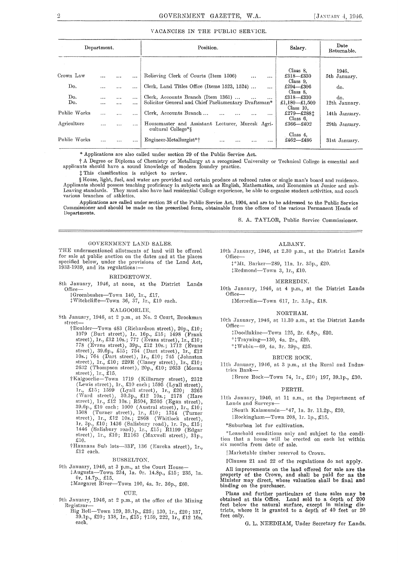#### VACANCIES IN THE PUBLlC SERVICE.

| Department.  |          |          | Position. | Salary.                                                                | Date<br>Returnable. |               |
|--------------|----------|----------|-----------|------------------------------------------------------------------------|---------------------|---------------|
|              |          |          |           |                                                                        |                     |               |
|              |          |          |           |                                                                        | Class 8.            | 1946.         |
| Crown Law    | .        |          | $\cdots$  | Relieving Clerk of Courts (Item 1506)<br><br>$\cdots$                  | $£318 - £330$       | 5th January.  |
|              |          |          |           |                                                                        | Class 9.            |               |
| Do.          | .        |          | $\cdots$  | Clerk, Land Titles Office (Items 1523, 1524)<br>$\cdots$               | $£294 - £306$       | do.           |
|              |          |          |           |                                                                        | Class 8.            |               |
| Do.          | $\cdots$ | $\cdots$ |           | Clerk, Accounts Branch (Item 1361)<br>$\cdots$<br>$\cdots$             | £318-£330           | do.           |
| Do.          | $\cdots$ | $\cdots$ | $\cdots$  | Solicitor General and Chief Parliamentary Draftsman*                   | £1,180 $-$ £1,500   | 12th January. |
|              |          |          |           |                                                                        | Class 10.           |               |
| Public Works | $\cdots$ | .        |           | Clerk, Accounts Branch<br>.<br>$\cdots$<br>$\cdots$                    | £279-£2881          | 14th January. |
|              |          |          |           |                                                                        | Class $6$ .         |               |
| Agriculture  |          | $\cdots$ |           | Housemaster and Assistant Lecturer, Muresk Agri-<br>cultural College*§ | £366-£402           | 29th January. |
|              |          |          |           |                                                                        | Class 4.            |               |
| Public Works | .        |          |           | Engineer-Metallurgist*†<br>.<br>$\cdots$<br><br>                       | £462-£486           | 31st January. |

\* Applications are also called under section 29 of the Public Service Act.

t A Degree or Diploma of Chemistry or Metallurgy at a recognised University or Technical College is essential and applicants should have a sound knowledge of modern foundry practice.

t This classification is subject to review.

§ House, light, fuel, and water are provided and certain produce at reduced rates or single man's board and residence. Applicants should possess teaching proficiency in subjects such as English, Mathematics, and Economics at Junior and sub-<br>Leaving standards. They must also have had residential College experience, be able to organise stu Leaving standards. They mus<br>various branches of athletics.

Applications are called under section 38 of the Public Service Act, 1904, and are to be addressed to the Public Service Commissioner and should be made on the prescribed form, obtainable from the offices of the various Permanent Heads of Departments.

S. A. TAYLOR, Public Service Commissioner.

#### GOVERNMENT LAND SALES.

THE undermentioned allotments of land will be offered for sale at public auction on the dates and at the places specified below, under the provisions of the Land Act, 1933-1939, and its regulations:—

#### BRIDGETOWN.

8th January, 1946, at noon, at the District Lands Office-

:j:Greenbushes-Town 140, lr., £17.

:j:Witchcliffe--Town 3(i, 37, Jr., £10 each.

#### KALGOORLIE.

8th January, 1946, at 2 p.m., at No. 2 Court, Brookman street-

- tBoulder-Town 483 (Richardson street), 20p., £10; 1079 (Burt street), lr. 16p., £15; 1498 (Frank street), lr., £12 10s.; 777 (Evans street), lr., £10; 778 (Evans street), 39p., £12 10s.; 1712 (Evans street), 39.6p., £15; 754 (Dart street), lr., £12 J0s.; 764 (Dart street), lr., £10; 745 (Johnston street), 1r., £10; 229R (Clancy street), 1r., £10; 2632 (Thompson street), 20p., £10; 2633 (Moran 2632 (Thompson street), 20p., £10; 2633 (Moran<br>street), 1r., £15.
- tKalgoorlie-Town 1719 (Killarney street), 2312 (Lewis street), lr., £10 each; 1595 (Lyall street), lr., £15; 1599 (Lyall street), 1r., £20; 3265 (Ward street), 30.3p., £12 10s.; 2178 (Hare street), lr., £12 10s.; R504, R505 (Egan street), B9.6p., £10 each; 1000 (Austral street), lr., £10; 1508 (Turner street), 1r., £10; 1514 (Turner  $\text{street}$ ), 1r., £12 10s.; 2868 (Whitlock street), lr. 3p., £10; 1436 (Salisbury road), lr. 7p., £15; 1446 (Salisbury road), 1r., £15; R1199 (Edgar street), 1r., £10; R1163 (Maxwell street), 31p.,<br>£10.
- †Hannans Sub lots-33F, 136 (Eureka street), 1r., £12 each.

#### BUSSELTON.

9th January, 1946, at 3 p.m., at the Court House-

:j:Augusta-Town. 234, la. Or. 14.8p., £15; 235, la. Or. 14.7p., £15.

+Margaret River-Town 100, 4a. 3r. 36p., £60.

#### CUE.

- 9th January, 1946, at 2 p.m., at the office of the Mining Registrar-
	- Big Bell-Town 129, 39. lp., £25; 130, lr., £20; 137, 39.lp., £20; 138, lr., /£15; tl59, 222, lr., £12 10s. each.

#### ALBANY.

10th January, 1946, at 2.30 p.m., at the District Lands Office--

:\*Mt. Barker-289, 11a. 1r. 35p., £20.

+Redmond-Town 3, lr., £10.

#### MERREDIN.

10th January, 1946, at 4 p.m., at the District Lands Office-

:j::Merredin-Town 617, lr. 3.5p., £18.

#### NORTHAM.

10th January, HJ46, at ll.30 a.m., at the District Lands Office-

+DoorUakine-'I'own 125, 2r. 6.8p., £20.

·•t'l'rayning-130, 4a. 2r., £20.

'''fWubin-69, 4a. 3r. 39p., £25.

#### BRUCE ROCK.

11th January, 1946, at 3 p.m., at the Rural and Industries Bank-

tBruce Rock-Town 74, lr., £30; 197, 39.lp., £30.

#### PERTH.

11th January, 1946, at 11 a.m., at the Department of Lands and Surveys-

tSouth Kalamunda-\*47, Ja. 3r. ll.2p., £20.

 $\frac{1}{2}$ Rockingham-Town 208, 1r. 1p., £15.

\*Suburban lot for cultivation.

\*Leasehold conditions only ancl subject to the condition that a house will be erected on each lot within six months from date of sale.

!!Marketable timber reserved to Crown.

+Clauses 21 and 22 of the regulations do not apply.

All improvements on the land offered for sale are the property of the Crown, and shall be paid for as the Minister may direct, whose valuation shall be final and binding on the purchaser.

Plans and further particulars of these sales may be obtained at this Office. Land sold to a depth of 200 feet below the natural surface, except in mining districts, where it is granted to a depth of 40 feet or 20 feet only.

G. L. NEEDHAM, Under Secretary for Lands.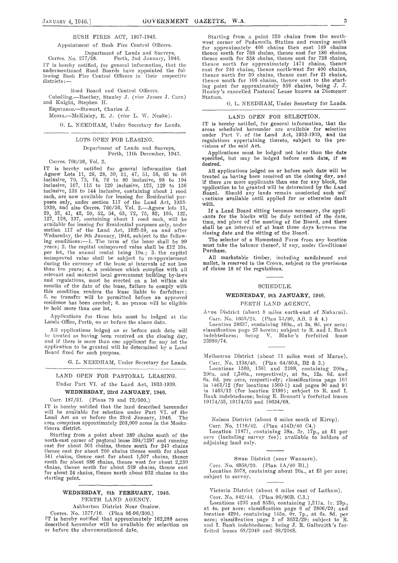#### BUSH FIRES ACT, 1937-1942.

#### Appointment of Bush Fire Control Oflieers.

Department of Lands and Surveys,<br>Corres, No. 277/38. Perth, 2nd January, 19-Perth, 2nd January, 1946. IT is hereby notified, for general information, that the undermentioned Road Boards have appointed the fol-lowing Bush Fire Control Officers in their respective districts:-

Road Board and Control Officers.

Cuballing.-Boothey, Stanley J. *(rice* James J. Cam) and Knight, Stephen H.

Esperance.-Stewart, Charles J.

Moora.--McKinley, E. J. (vice L. W. Nenke).

G. L. NEEDHAM, Under Secretary for Lands.

#### LOTS OPEN FOR LEASING.

#### Department of Lands and Surveys, Perth, 11th December, 1945.

Corres. 760/36, Vol. 2.

IT is hereby notified for general information that Agnew Lots 11, 26, 28, 30, 31, 47, 51, 56, 65 to 68 inclusive, 70, 73, 74, 76 to 80 inclusive, 98 to 104 inclusive, 107, 115 to 120 inclusive, 125, 129 to 136 inclusive, 138 to 144 inclusive, containing about 1 rood each, arc now available for leasing for Residential purposes only, under section 117 of the Land Act, 1933- 1939, and also Cones. 760/36, Vol. 2.-Agncw lots 13, 29, 32, 41, 42, 50, 52, 54, 63, 72, 75, 82, 105, 122, 127, 128, 137, containing about 1 rood each, will be available for leasing for Residential purposes only, under<br>section 117 of the Land Act, 1933-39, on and after Wednesday, the 9th January, 1946, subject to the follow-<br>ing conditions:—1. The term of the lease shall be 99<br>years; 2. the capital unimproved value shall be £12 10s. per lot, the annual rental being 10s.; 3. the capital unimproved value shall be subject to re-appraisement during the currency of tho lease at intervals of not less than ten years; 4. a residence which complies with all relevant and material local government building by-laws and regulations, must be erected on a lot within six months of the date of the lease, failure to comply with this condition renders the lease liable to forfeiture; 5. no transfer will be permitted before an approved residence has been erected; 6. no person will be eligible to hold more than one lot.

Applications for these lots must be lodged at the Lands Office, Perth, on or before the above date.

All applications lodged on or before such date will be treated as having been received on the closing day, and if there is more than one applicant for any lot the application to be granted will be determined by a Land Board fixed for such purpose.

G. L. NEEDHAM, Under Secretary for Lands.

#### LAND OPEN FOR PASTORAL LEASING.

Under Part VI. of the Land Act, 1933-1939.

## **WEDNESDAY,** 23rd **.JANUARY,** 1946.

Corr. 187/31. (Plans 79 and 72/300.)

l'l' is hereby notified that the land described hereunder will be ava'ilable for selection under Part VI. of the Land Act on or before the 23rd January, 1946. The area comprises approximately 203,000 acres in the Meekatharra district.

Starting from a point about 389 chains south of the north-east corner of pa§toral lease 394/1297 and running<br>east for about 503 chains, thence south for 243 chains thence east for about 200 chains thence south for about 541 chains, thence east for about 1,507 chains, thence south for about 686 chains, thence west for about 2,230 chains, thence north for about 539 chains, thence east for about 24 chains, thence north about 932 chains to the starting point.

**WEDNESDAY,** 6th **FEBRUARY,** 1946. PERTH LAND AGENCY. Ashburton District Near Onslow. Corres. No. 1577/16. (Plan 95-96/300.)

TT is hereby notified that approximately 162,288 acreb described hereunder will be available for selection on or before the abovementioned date.

Starting from a point 250 chains from the south· west corner of Pedamulla Station and running south for approximately 466 chains then east  $149$  chains thence south for 708 chains, thence east for 180 chains, thence south for 558 chains, thence east for 738 chains, thence north for approximately 1471 chains, thence cast for 240 chains, thence north-west for 400 chains, thence north for 50 chains, thence east for 21 chains, thence south for 106 chains, thence east to the start-ing point for approximately 856 chains, being J. J. HooleY 's cancelled Pastoral Lease known as Diomenor Station.

G. L. NEEDHAM, Under Secretary for Lands.

#### LAND OPEN FOR SELECTION.

IT is hereby notified, for general information, that the areas scheduled hereunder are available for selection under Part V. of the Land Act, 1933-1939, and the regulations appertaining thereto, subject to the provisions of the said Act.

Applications must be lodged not later than the date specified, but may be lodged before such date, if so desired.

All applications lodged on or before such date will be treated as having been received on the closing day, and if there are more applicants than one for any block, the application to be granted will be determined by the Land Board. Should any lands remain unselected such wil' t. ontinue available until applied for or otherwise dealt with.

If a Land Board sitting becomes necessary, the appli-<br>cants for the blocks will be duly notified of the date, time, and phice of the meeting of the Board, and there shall be an interval of at least three days between the closing date and the sitting of the Board.

The selector of a Homestead Farm from any location must take the balance thereof, if any, under Conditional Purchase.

All marketable timber, including sandalwood and mallet, is reserved to the Crown, subject to the provisions of clause 18 of the regulations.

#### SCHEDULE.

#### **WEDNESDAY,** 9th **JANUARY,** 1946.

#### PERTH LAND AGENCY.

AYon District (about 8 miles north-east of Nukarni). Corr. No. 1655/24. (Plan 35/80, AB. 3 & 4.)

Location 24637, containing 160a., at 3s. 6d. per acre; classification page 23 herein; subject to R. and I. Bank indebtedness; being V. Blake's forfeited lease 23980/74.

Melbourne District (about 11 miles west of Marne). Corr. No. 1138/40. (Plan 64/80A, B2 & 3.)

Locations 1560, 1561 and 2199, containing 200a., 200a. and 1,340a., respectively, at 8s., 12s. 6d. and<br>Gs. 6d. per acre, respectively; classifications page 101 in 1463/12 (for locations 1560-1) and pages 90 and 91 in  $1463/12$  (for location  $2199$ ); subject to R. and I. Bank indebtedness; being E. Bennett's forfeited leases 19174/55, 19174/55 and 10634/68.

Nelson District (about 6 miles south of Kirup).

Corr. No. 1116/42. (Plan 414D/40 C4.)

Location 11871, containing 38a. 2r. 17p., at £1 per acre (including survey fee); available to holders of adjoining land only.

Swan District (near Wanneru).

Corr. No. 6958/20. (Plan 1A/40 B1.)

Location 5078, containing about 20a., at £3 per acre; subject to survey.

Victoria District (about 6 miles cast of Latham).

Corr. No. 842/44. (Plan 96/80B. C.3.)

Locations 4293 and 8530, containing 1,211a. 1r. 23p., at 4s. per acre; classification page 6 of 2806/29; and location 4294, containing 145a. Or. 7p., at 6s. 8d. per acre; classification page 3 of  $3632/29$ ; subject to R. and I. Bank indebtedness; being J. R. Galbraith's for-<br>feited leases 68/2049 and 68/2048.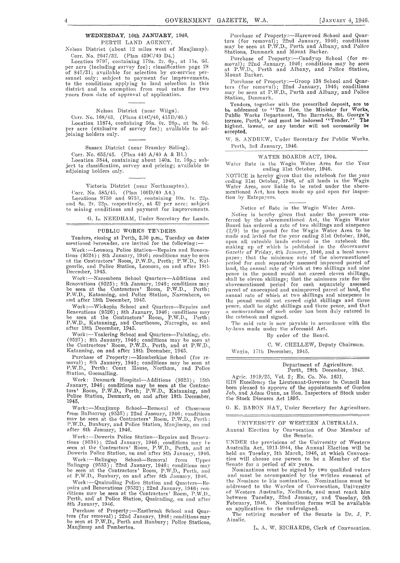#### **WEDNESDAY,** 16th **JANUARY,** 1946. PERTH LAND AGENCY.

Xclson District (about 12 miles west of Manjimup). Corr. No. 2647/32. (Plan 439C/40 D4.)

Location 9797, containing 179a. 2r. 6p., at 11s. 6d. per acre (including survey fee); classification page 28 of 847/31; available for selection by ex-service personnel only; subject to payment for improvements, to the conditions applying to land selection in this distriet and to exemption from road rates for two years from date of approval of application.

Nelson District (near Wilga).

Corr. No. 168/43. (Plans 414C/40, 415D/40.) Location 11874, containing 56a. Or. 26p., at 9s. 6d. per acre (exclusive of survey fee); available to adjoining holders only.

Sussex District (near Bramley Siding).

Corr. No. 655/45. (Plan 440 A/40 A & Bl.)

Location 3844, containing about 140a. lr. 16p.; subject to classification, survey and pricing; available to adjoining holders only.

Victoria District (near Northampton).

Corr. No.  $585/45.$  (Plan  $160D/40$  A4.)

Locations 9750 and 9751, containing 10a. 1r. 22p.<br>and Sa. 2r. 22p. respectively, at £2 per acre; subject to mining conditions and payment for improvements.

G. L. NEEDHAM, Under Secretary for Lands.

#### PUBLIC WORKS TENDERS.

Tenders, closing at Perth, 2.30 p.m., Tuesday on dates mentioned bereunder, are invited for the following:-

Work:-Leonora Police Station-Repairs and Renovations (9524); 8th January, 1946; conditions may be seen at the Contractors' Room, P.W.D., Perth; P.W.D., Kalgoorlie, and Police Station, Leonora, on and after 18th December, 1945.

Work:-Narembeen School Quarters-Additions and Renovations (9525); 8th January, 1946; conditions may be seen at the Contractors' Room, P.W.D., Perth;<br>P.W.D., Katanning, and Police Station, Narembeen, on and after 18th December, 1945.

Work:-Wickepin School and Quarters-Repairs and Renovations (9526); 8th January, 1946; conditions may<br>be seen at the Contractors' Room, P.W.D., Perth;<br>P.W.D., Katanning, and Courthouse, Narrogin, on and P.W.D., Katanning, and Cafter 18th December, 1945.

Work:-Yealering School and Quarters-Painting, etc.  $(9527)$ ; 8th January, 1946; conditions may be seen at the Contractors' Room, P.W.D., Perth, and at P.1V.D., Katanning, on and after 18th December, 1945.

Purchase of Property:—Momberkine School (for re-<br>moval); 8th January, 1946; conditions may be seen at P.W.D., Perth; Court House, Northam, and Police Station, Goomalling.

Work: Denmark Hospital—Additions (9523); 15th<br>January, 1946; conditions may be seen at the Contractors' Room, P.W.D., Perth; P.W.D., Katanning, and<br>Police Station, Denmark, on and after 18th December, 1945.

Work:-J\fanjimup School-Removal of Classroom from Balbarrup (9535); 22nd January, 1946; conditions<br>may be seen at the Contractors' Room, P.W.D., Perth; P.W.D., Bunbury, and Police Station, Manjimup, on and after 8th January, 1946.

Work:-Dowerin Police Station-Repairs and Renovations (9534); 22nd January, 1946; conditions may be seen at the Contractors' Room, P.W.D., Perth, and at<br>Dowerin Police Station, on and after 8th January, 1946.

Work :-Balingup School--Removal from Upper Balingup (9533) : 22nd January, 1946; conditions may be seen at the Contractors' Room, P.W.D., Perth, and at P.W.D., Bunbury, on and after 8th January, 1946.

Work:-Quairading Police Station and Quarters-Repairs and Renovations (9532); 22nd January, 1946; con-<br>ditions may be seen at the Contractors' Room, P.W.D.,<br>Perth, and at Police Station, Quairading, on and after 8th January, 1946.

Purchase of Property :- Eastbrook School and Quarters (for removal); 22nd January. 1946; conditions may be seen at P.W.D., Perth and Bunbury; Police Stations, Manjimup and Pemberton.

Purchase of Property:-Harewood School and Quarters (for removal); 22nd January, 1946; conditions<br>may be seen at P.W.D., Perth and Albany, and Police<br>Stations, Denmark and Mount Barker.

Purchase of Property:-Candyup School (for removal); 22nd January, 1946; conditions may be seen<br>at P.W.D., Perth and Albany, and Police Station, Mount Barker.

Purchase of Property:—Group 138 School and Quarters (for removal); 22nd January, 1946; conditions<br>may be seen at P.W.D., Perth and Albany, and Police Station, Denmark.

Tenders, together with the prescribed deposit, are to<br>be addressed to "The Hon. the Minister for Works,<br>Public Works Department, The Barracks, St. George's<br>terrace, Perth,'' and must be indorsed "Tender.'' The highest, lowest, or any tender will not necessarily be accepted.

W. S. ANDREW, Under Secretary for Public Works. Perth, 3rd January, 1946.

#### WATER BOARDS ACT, 1904.

Water Rate in the Wagin Water Area for the Year ending 31st October, 1946.

NOTICE is hereby given that the ratebook for the year ending 31st October, 1946, of all lands in the Wagin<br>Water Area, now liable to be rated under the abovementioned Act, has been made up and open for inspection by Ratepayers.

Notice of Rate in the Wagin Water Area.

Xotiec is hereby given that under the powers conferred by the abovementioned Act, the Wagin Water Board has ordered a rate of two shillings and ninepence  $(2/9)$  in the pound for the Wagin Water Area to be made and levied for the year ending 31st October, 1946, upon all rateable lands entered in the ratebook the<br>making up of which is published in the *Government Gazette* of Friday, 4th January, 1946, and a local news-<br>paper; that the minimum rate of the abovementioned period for ench separately assessed improved parcel of land, the annual rate of which at two shillings and nine pence in the pound would not exceed eleven shillings,<br>shall be eleven shillings; that the minimum rate for the<br>abovementioned period for each separately assessed parcel of unoccupied and unimproved parcel of land, the<br>annual rate of which at two shillings and ninepence in the pound wonld not cxeecd eight shillings and three pence, shall be eight shillings and three pence, and that a memorandum of such order has been duly entered in the ratebook and signed.

The said rate is now payable in accordance with the by-laws made under the aforesaid Act.

By order of the Board.

C. W. CHELLEW, Deputy Chairman. Wagiu, 17th December, 1945.

> Department of Agriculture. Perth, 28th December, 1945.

Agric. 1919/26, Vol. 2; Ex. Co. No. 1631. HIS Excellency the Lieutenant-Govemor in Council has been pleased to approve of the appointments of Gordon Job, and Adam Gunn, as Hon. Inspectors of Stock under the Stock Diseases Act 1895.

G. K. BARON HAY, Under Secretary for Agriculture.

UNIVERSITY OF WESTERN AUSTRALIA.

Annnal Election by Convocation of Ono Member of the Senate.

UNDER the provisions of the University of Western Australia Act, 1911-1944, the Annual Election will be<br>held on Tuesday, 5th March, 1946, at which Convocation will choose one person to be a Member of the Senate for a period of six years.

:Nominations must be signed by two qualified voters and must be accompanied by the written consent of the Nominee to his nomination. Nominations must be addressed to the Warden of Convocation, University of Western Australia, Nedlands, and must reach him between Tuesday, 22nd January, and Tuesday, 5th February, 1946. Nomination forms will be available February, 1946. Nomination form<br>on application to the undersigned.

The retiring member of the Senate is Dr. J. P. Ainslie.

L, A, W, RICHARDS, Clerk of Convocation.

 $\overline{4}$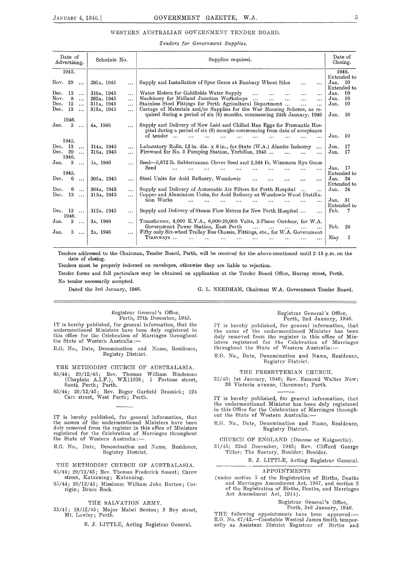#### WESTERN AUSTRALIAN GOVERNMENT TENDER BOARD.

#### $Tenders$  for Government Supplies.

| Date of<br>Advertising.                            | Schedule No.                         | Supplies required.                                                                                                                                                  |                             |  |  |  |
|----------------------------------------------------|--------------------------------------|---------------------------------------------------------------------------------------------------------------------------------------------------------------------|-----------------------------|--|--|--|
| 1945.                                              |                                      |                                                                                                                                                                     | 1946.                       |  |  |  |
| Nov. 29<br>$\ddotsc$                               | 295д, 1945<br>$\cdots$               | Supply and Installation of Spur Gears at Bunbury Wheat Silos<br>$\cdots$<br>$\cdots$                                                                                | Extended to<br>Jan. 10      |  |  |  |
| $_{\mathrm{Dec.}}$<br>13<br>$\cdots$               | 310a, 1945<br>$\ddotsc$              | Water Meters for Goldfields Water Supply<br><br>$\cdots$                                                                                                            | Extended to<br>10<br>Jan.   |  |  |  |
| Nov.<br>8<br>$\ddotsc$                             | 262A, 1945<br>$\ddotsc$              | Machinery for Midland Junction Workshops<br>$\ddotsc$<br>$\ddotsc$<br><br>$\ddotsc$<br>                                                                             | 10<br>Jan.                  |  |  |  |
| Dec.<br>13<br>$\cdots$                             | 311a, 1945<br>$\cdots$               | Stainless Steel Fittings for Perth Agricultural Department<br><br>$\cdots$                                                                                          | 10<br>Jan.                  |  |  |  |
| Dec.<br>13<br>$\ddotsc$                            | 313A, 1945<br>$\cdots$               | Cartage of Materials and/or Supplies for the War Housing Scheme, as re-<br>quired during a period of six (6) months, commencing 24th January, 1946                  | 10<br>Jan.                  |  |  |  |
| 1946.                                              |                                      |                                                                                                                                                                     |                             |  |  |  |
| Jan.<br>3<br>$\cdots$                              | 4a, 1946                             | Supply and Delivery of New Laid and Chilled Hen Eggs for Fremantle Hos-<br>pital during a period of six (6) months commencing from date of acceptance               |                             |  |  |  |
| 1945.                                              |                                      | of tender                                                                                                                                                           | Jan.<br>-10                 |  |  |  |
| Dec. 13                                            | 314a, 1945                           |                                                                                                                                                                     | Jan.<br>17                  |  |  |  |
| $\ddotsc$<br>Dec. $20$<br>$\ddotsc$<br>1946.       | $\ddotsc$<br>316a, 1945<br>$\ddotsc$ | Laboratory Rolls, 12 in. dia. x 6 in., for State (W.A.) Alunite Industry<br>$\ddotsc$<br>Firewood for No. 5 Pumping Station, Yerbillon, 1945<br>                    | 17<br>Jan.                  |  |  |  |
| Jan.<br>3<br>$\ddotsc$                             | 1 <sub>A</sub> , 1946<br>$\cdots$    | Seed—5,672 lb. Subterranean Clover Seed and 2,544 lb. Wimmera Rye Grass                                                                                             |                             |  |  |  |
| 1945.                                              |                                      | Seed<br>                                                                                                                                                            | Jan.<br>- 17<br>Extended to |  |  |  |
| Dec.<br>6                                          | 305д, 1945                           | Steel Units for Acid Refinery, Wundowie                                                                                                                             | Jan. $24$                   |  |  |  |
| $\ddotsc$                                          | $\cdots$                             | $\cdots$<br>                                                                                                                                                        | Extended to                 |  |  |  |
| Dec.<br>6<br>$\ddotsc$<br>13<br>$_{\mathrm{Dec.}}$ | 304a, 1945<br>$\ddotsc$              | Supply and Delivery of Automatic Air Filters for Perth Hospital<br>$\cdots$<br>$\cdots$<br>Copper and Aluminium Units, for Acid Refinery at Wundowie Wood Distilla- | Jan.<br>-24                 |  |  |  |
| $\ddotsc$                                          | 315a, 1945<br>.                      | tion Works                                                                                                                                                          | -31<br>Jan.                 |  |  |  |
|                                                    |                                      |                                                                                                                                                                     | Extended to                 |  |  |  |
| Dec. $13$<br>$\cdots$<br>1946.                     | 312A, 1945<br>$\cdots$               | Supply and Delivery of Steam Flow Meters for New Perth Hospital<br>$\ddotsc$                                                                                        | Feb.<br>7                   |  |  |  |
| 3<br>Jan.<br>$\cdots$                              | 3A. 1946<br>$\cdots$                 | Transformer, 4,000 K.V.A., 6,000-20,000 Volts, 3-Phase Outdoor, for W.A.                                                                                            |                             |  |  |  |
| Jan.<br>3<br>$\ddotsc$                             | 2 <sub>A</sub> , 1946<br>$\cdots$    | Government Power Station, East Perth<br>Fifty only Six-wheel Trolley Bus Chassis, Fittings, etc., for W.A. Government                                               | Feb.<br>28                  |  |  |  |
|                                                    |                                      | Tramways<br>                                                                                                                                                        | May<br>2                    |  |  |  |

Tenders addressed to the Chairman, Tender Board, Perth, will be received for the above-mentioned until 2· 15 p.m. on the date of closing.

Tenders must be properly indorsed on envelopes, otherwise they are liable to rejection.

Tender forms and full particulars may be obtained on application at the Tender Board Office, Murray street, Perth. No tender necessarily accepted.

Dated the 3rd January, 1946.

G. L. NEEDHAM, Chairman W.A. Government Tender Board.

Registrar General's Office, Perth, 27th December, 1945.

IT is hereby published, for general information, that the undermentioned Ministers have been duly registered in this office for the Celebration of Marriages throughout<br>the State of Western Australia:—

R.G. No., Date, Denomination and Name, Residence, Registry District.

THE METHODIST CHURCH OF AUSTRALASIA.

85/44; 20/12/45; Rev. Thomas William Bindeman (Chaplain A.I.F.), WX11036; 1 Fortune street, South Perth; Perth.

85/44; 20/12/45; Rev. Roger Garfield Bramich; 124<br>Carr street, West Perth; Perth.

IT is hereby published, for general information, that the names of the undermentioned Ministers have been duly removed from the register in this office of Ministers registered for the Celebration of Marriages throughout<br>the State of Western Australia:—

R.G. No., Date, Denomination and Name, Residence, Registry District.

THE METHODIST CHURCH OF AUSTRALASIA. 85/44; 20/12/45; Rev. Thomas Frederick Smout; Carew street, Katanning; Katanning.

85/44; 20/12/45; Missioner William John Burton; Corrigin; Bruce Rock.

#### THE SALVATION ARMY.

33/41; 19/12/45; Major Mabel Sexton; 3 Roy street, Mt. Lawley; Perth.

R. J. LITTLE, Acting Registrar General.

#### Registrar General's Office, Perth, 2nd January, 1946.

IT is hereby published, for general information, that the name of the undermentioned Minister has been duly removed from the register in this office of Ministers registered for the Celebration of Marriages the State of Western Line Celebration of N<br>throughout the State of Western Australia:-

R.G. No., Date, Denomination and Name, Residence, Registry District.

THE PRESBYTERIAN CHURCH.

32/45; 1st January, 1946; Rev. Esmond Walter New; 36 Victoria avenue, Claremont; Perth.

IT is hereby published, for general information, that the undermentioned Minister has been duly registered in this Office for the Celebration of Marriages throughout the State of Westem Australia:-

RG. No., Date, Denomination and Name, Residence, Registry District.

CHURCH OF ENGLAND (Diocese of Kalgoorlie).

31/45; 22nd December, 1945; Rev. Clifford George Tiller; The Rectory, Boulder; Boulder.

R. J. LITTLE, Acting Registrar General.

#### **APPOINTMENTS**

(under section 5 of the Registration of Births, Deaths and Marriages Amendment Act, 1907, and section 2 of the Registration of Births, Deaths, and Marriages Act Amendment Act, 1914).

> Registrar General's Office, Perth, 3rd January, 1946.

THE following appointments have been approved:—<br>R.G. No. 67/42.—Constable Westral James Smith temporarily as Assistant District Registrar of Births and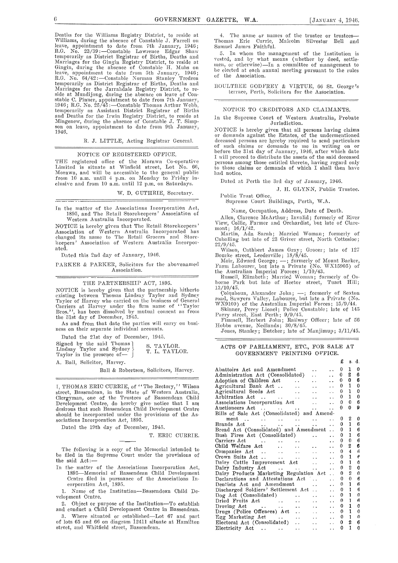$\equiv$ 

Deaths for the Williams Registry District, to reside at Williams, during the absence of Constable J. Farrell on leave, appointment to date from 7th January, 1946;<br>R.G. No. 23/39:—Constable Lawrence Edgar Shaw temporarily as District Registrar of Births, Deaths and Marriages for the Gingin Registry District, to reside at Gingin, during the absence of Constable H. Muhs on leave, appointment to date from 5th January, 1946;<br>R.G. No. 64/42:—Constable Norman Stanley Tredrea temporarily as District Registrar of Births, Deaths and<br>Marriages for the Jarrahdale Registry District, to reside at Mundijong, during the absence on leave of Con-<br>stable C. Pinner, appointment to date from 7th January,<br>19 temporarily as Assistant District Registrar of Births and Deaths for the Irwin Registry District, to reside at llfingenew, during the absence of Constable J. T. Simp-son on leave, appointment to date from 9th January, 1946.

R. J. LITTLE, Acting Registrar General.

#### NOTICE OF REGISTERED OFPICE.

THE registered office of the Morawa Co-operative Limited is situate at Winfield street, Lot No. 66, Morawa, and will he accessible to the general public from  $10$  a.m. until  $4$  p.m. on Monday to Friday inclusive and from 10 a.m. until 12 p.m. on Saturdays.

W. D. GUTHRIE, Secretary.

In the matter of the Associations Incorporation Act, 1895, and The Retail Storekeepers' Association of Western Australia Incorporated.

NOTICE is hereby given that The Retail Storekeepers' Association of Western Australia Incorporated has changed its name to The Retail Grocers and Store-<br>keepers' Association of Western Australia Incorporatecl.

Dated this 2nd day of January, 1946.

PARKER & PARKER, Solicitors for the abovenamed Association.

#### THE PARTNERSHIP ACT, 1895.

NOTICE is hereby given that the partnership hitherto existing between Thomas Lindsay Taylor and Sydney Taylor of Harvey who carried on the business of General Carriers at Harvey under the firm name of '' Taylor Bros.'', has been dissolved by mutual consent as from the 31st day of December, 1945.

As and from that date the parties will carry on business on their separate individual accounts.

Dated the 21st day of December, 1945.

Signed by the said Thomas  $\left\{\n \begin{array}{cc}\n \text{Si} & \text{TAYLOR.} \\
 \text{L} & \text{T_A YLOR.}\n \end{array}\n\right\}$ Taylor in the presence of-

A. Ball, Solicitor, Harvey.

Ball & Robertson, Solicitors, Harvey.

I, THOMAS ERIC CURRIE, of "The Rectory," Wilson street, Bassendean, in the State of Western Australia, Clergyman, one of the Trustees of Bassendean Child Development Centre, do hereby give notice that I am desirous that such Bassendean Child Development Centre should be incorporated under the provisions of the Associations Incorporation Act, 1895.

Dated the 19th day of December, 1945.

T. ERIC CURRIE.

The following is a copy of the Memorial intended to be filed in the Supreme Court under the provisions of the said  $Act$ :-

In the· matter of the Associations Incorporation Act, 1895-Memorial of Bassendean Child Development Centre filed in pursuance of the Associations Incorporation Act, 1895.

1. Name of the Institution-Bassendean Child Development Centre.

2. Object or purpose of the Institution-'To establish and conduct a Child Development Centre in Bassendean.

3. Where situated or established-Lot 67 and part of lots 65 mid 66 on diagram 12411 situate at Hamilton street, and Whitfield street, Bassendean.

4. The name or names of the trustee or trustees- 'l'homas Eric Currie, Malcolm Silvester Bell and Samuel James Faithful.

5. In whom the management of the Institution is vested, and by what means (whether by deed, settle-<br>men, or otherwise)—In a committee of management to be elected at each annual meeting pursuant to the rules of the Association.

BOULTBEE GODFREY & VIRTUE, 66 St. George's terrace, Perth, Solicitors for the Association.

#### NOTICE TO CREDITORS AND CLAIMANTS.

In the Supreme Court of Western Australia, Probate Jurisdiction.

NOTICE is hereby given that all persons having claims or demands against the Estates, of the undermentioned deceased persons are hereby required to send particulars of such claims or demands to me in writing on or<br>before the 31st day of January, 1946, after which date I will proceed to distribute the assets of the said deceased persons among those entitled thereto, having regard only to those claims or demands of which I shall then have had notice.

Dated at Perth the 3rd day of January, 1946.

J. H. GLYNN, Public Trustee.

Public Trust Office. Supreme Court Buildings, Perth, W.A.

Name, Occupation, Address, Date of Death.

Allen, Clarence McArthur; Invalid; formerly of River View, Collie, Fanner and Orchardist, but late of Claremont; 16/1/42.

Martin, Ada Sarah; Married Woman; formerly of Cuballing but late of 23 Griver street, North Cottesloe; 22/9/45.

\Vilson, Cuthbert James Gray; Grocer; late of 127

Bourke street, Leederville; 18/8/45.<br>- Moir, Edward George; --; formerly of Mount Barker,<br>Farm Labourer, but late a Private (No. WX15905) of

the Australian Imperial Forces; 1/10/43.<br>Russell, Elizabeth; Married Woman; formerly of Os-<br>borne Park but late of Hector street, Tuart Hill;

13/10/45.<br>Colquhoun, Alexander John; —; formerly of Sexton Colquhoun, Alexander John; -; formerly of Sexton road, Sawyers Valley, Labourer, but late a Private (No. WX9100) of the Australian Imperial Forces; 15/0/44.

Skinner, Percy Lionel; Police Constable; late of 145<br>Parry street, East Perth; 9/9/45.<br>Fimmell, Herbert John; Railway Officer; late of 56

Hobbs avenue, Nedlands; 30/8/45.

Jones, Stanley; Butcher; late of Manjimup; 3/11/45.

#### ACTS OF PARLIAMENT, ETC., FOR SALE AT GOVERNMENT PRINTING OFFICE.

£ s. d.

| Abattoirs Act and Amendment                                                                 | $\ddot{\phantom{a}}$ | 0            | 1            | 0                |
|---------------------------------------------------------------------------------------------|----------------------|--------------|--------------|------------------|
| Administration Act (Consolidated)<br>$\ddot{\phantom{a}}$                                   | $\ddot{\phantom{a}}$ | 0            | 2            | 6                |
| Adoption of Children Act<br>$\sim$                                                          | $\ddot{\phantom{0}}$ | 0            | $\mathbf{0}$ | 6                |
| Agricultural Bank Act<br>$\ddotsc$<br>$\ddot{\phantom{a}}$                                  | $\ddot{\phantom{a}}$ | 0            | $\mathbf{1}$ | 0                |
| Agricultural Seeds Act<br>$\sim 100$<br>$\ddotsc$                                           | $\ddotsc$            | 0            | 1            | 0                |
| $\ddotsc$                                                                                   |                      | 0            | $\mathbf{1}$ | $\theta$         |
| Associations Incorporation Act<br>$\mathbf{r}$ , and $\mathbf{r}$                           | $\ddot{\phantom{a}}$ | 0            | $\mathbf{0}$ | 6                |
| <b>Allen Control</b>                                                                        | $\ddot{\phantom{a}}$ | 0            | 0            | 9                |
| Bills of Sale Act (Consolidated) and Amend-                                                 |                      |              |              |                  |
| $ment \dots \dots$<br>$\alpha$ , and $\alpha$ , and $\alpha$ , and $\alpha$                 | $\ddot{\phantom{0}}$ | 0            | 2            | 0                |
| Brands Act                                                                                  | $\ddot{\phantom{a}}$ | 0            | 1            | 6                |
| Bread Act (Consolidated) and Amendment                                                      |                      | 0            | T            | 6                |
| Bush Fires Act (Consolidated)<br>$\ddot{\phantom{a}}$                                       | $\ddot{\phantom{a}}$ | 0            | 1            | 6                |
|                                                                                             | $\ddot{\phantom{0}}$ | 0            | 0            | 6                |
| Child Welfare Act<br>$\Delta\Delta\phi$ and $\Delta\Delta\phi$                              | $\ddot{\phantom{a}}$ | 0            | 2            | 6                |
| $\mathbf{r}$ , $\mathbf{r}$ , $\mathbf{r}$                                                  | $\ddot{\phantom{0}}$ | 0            | 4            | ĥ                |
| $\mathbf{L}$                                                                                | $\ddot{\phantom{a}}$ | 0            | $\mathbf{1}$ | в                |
| Dairy Cattle Improvement Act<br>$\ddotsc$                                                   | $\ddot{\phantom{0}}$ | $\Omega$     | 1            | 0                |
| Dairy Industry Act                                                                          | $\ddot{\phantom{a}}$ | 0            | 2            | 0                |
| Dairy Products Marketing Regulation Act                                                     | $\ddot{\phantom{0}}$ | 0            | 2            | $\boldsymbol{0}$ |
| Declarations and Attestations Act                                                           | $\ddot{\phantom{0}}$ | 0            | 0            | 6                |
| Dentists Act and Amendment<br>$\ddotsc$                                                     | $\ddot{\phantom{0}}$ | 0            | 1            | 6                |
| Discharged Soldiers' Settlement Act                                                         | $\ddot{\phantom{0}}$ | 0            | 1<br>1       | 6                |
| Dog Act (Consolidated)<br>$\ddot{\phantom{a}}$                                              | $\ddot{\phantom{a}}$ | 0            | 1            | U<br>6           |
| Dried Fruits Act                                                                            | $\ddot{\phantom{0}}$ | 0            |              |                  |
| Droving $\text{Act}$<br>$\ddot{\phantom{a}}$                                                | $\ddot{\phantom{0}}$ | 0.           | 1<br>1       | 0                |
| Drugs (Police Offences) Act<br>$\mathcal{L}(\mathbf{r})$ .                                  | $\ddotsc$            | 0.           |              | 0                |
| Egg Marketing Act<br><b>College</b>                                                         | $\ddot{\phantom{0}}$ | $\mathbf{0}$ | $\mathbf{I}$ | 0<br>6           |
| Electoral Act (Consolidated)<br><b>College</b><br>$\mathbf{r}$ , and the state $\mathbf{r}$ | $\ddot{\phantom{a}}$ | 0.           | 2<br>1       |                  |
| Electricity Act<br>$\ddot{\phantom{0}}$<br>$\ddotsc$                                        | $\ddot{\phantom{a}}$ | 0            |              | 0                |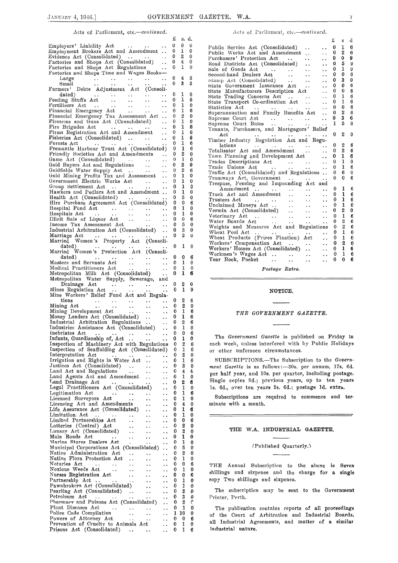£ s. d.

#### Acts of Parliament, etc.-continued.

| Employers' Liability Act                                                                                                                     |                      | 0      | 0      | ti     |
|----------------------------------------------------------------------------------------------------------------------------------------------|----------------------|--------|--------|--------|
| Employment Brokers Act and Amendment                                                                                                         |                      | 0      | 1      | 0      |
| Evidence Act (Consolidated)<br>$\cdots$                                                                                                      | L.                   | 0      | 2      | 0      |
| Factories and Shops Act (Consolidated)                                                                                                       | $\ddot{\phantom{0}}$ | 0      | 4      | 0      |
| Factories and Shops Act Regulations                                                                                                          | $\ddot{\phantom{0}}$ | 0      | 1      | 0      |
| Factories and Shops Time and Wages Books-                                                                                                    |                      |        |        |        |
| Large<br>$\ddotsc$<br>$\sim 10^{-1}$                                                                                                         |                      | 0      | 4      | 3      |
| $\frac{1}{2}$<br>$\sim$ $\sim$<br>Small<br>$\ddot{\phantom{1}}$<br>$\ddotsc$                                                                 | $\ddot{\phantom{1}}$ | 0      | 3      | 3      |
| Debts Adjustment Act (Consoli-<br>Farmers'                                                                                                   |                      |        |        |        |
| dated)<br>$\sim$ $\sim$<br>$\sim$ $\sim$<br>$\sim$ $\sim$                                                                                    |                      | 0      | 1      | 0      |
| $\sim 100$<br>Feeding Stuffs Act                                                                                                             | . .                  | 0      | 1      | 6      |
| $\sim 10^{-1}$<br>$\sim$ $\sim$                                                                                                              |                      | 0      | 1      | 0      |
| Fertilisers Act<br>Financial Emergency Act                                                                                                   | . .                  | 0      | 1      | 6      |
| Financial Emergency Tax Assessment Act                                                                                                       |                      | 0      | 2      | 0      |
| Firearms and Guns Act (Consolidated)                                                                                                         | $\ddot{\phantom{0}}$ | 0      | 1      | 0      |
| Fire Brigades Act                                                                                                                            | $\ddot{\phantom{0}}$ | 0      | 1      | 6      |
|                                                                                                                                              | . .                  | 0      | 1      | 6      |
| Firms Registration Act and Amendment                                                                                                         | $\ddot{\phantom{0}}$ |        |        |        |
| Fisheries Act (Consolidated)                                                                                                                 | . .                  | 0      | 1      | 6      |
| Forests Act<br>$\sim$ .<br>. .                                                                                                               | . .                  | 0      | 1      | 6      |
| Fremantle Harbour Trust Act (Consolidated)                                                                                                   |                      | 0      | 1      | 6      |
| Friendly Societies Act and Amendments                                                                                                        |                      | 0      | 2      | 0      |
| Game Act (Consolidated)<br>$\sim 100$ km s $^{-1}$                                                                                           | $\ddot{\phantom{1}}$ | 0      | 1      | 0      |
| Gold Buyers Act and Regulations<br>$\sim$ $\sim$                                                                                             | $\ddot{\phantom{0}}$ | 0      | 2      | 0      |
| Goldfields Water Supply Act                                                                                                                  | $\ddot{\phantom{1}}$ | 0      | 2      | 6      |
|                                                                                                                                              |                      | 0      | 1      | 0      |
|                                                                                                                                              |                      | 0      | 1      | 0      |
| Group Settlement Act                                                                                                                         | $\ddot{\phantom{1}}$ | 0      | 1      | 3      |
| Hawkers and Pedlars Act and Amendment                                                                                                        |                      | 0      | 1      | 0      |
| Health Act (Consolidated)                                                                                                                    |                      | 0      | 5      | 0      |
| Hire Purchase Agreement Act (Consolidated)                                                                                                   |                      | 0      | 0      | 6      |
| Hospital Fund Act                                                                                                                            | $\ddot{\phantom{0}}$ | 0      | 1      | 0      |
| $\begin{array}{ccc}\n\text{net} & \cdots \\ \vdots & \ddots\n\end{array}$<br>Hospitals Act                                                   | $\ddot{\phantom{0}}$ | 0      | 1      | 0      |
| Illicit Sale of Liquor Act<br>$\ddot{\phantom{0}}$<br>$\ddotsc$                                                                              | . .                  | 0      | 0      | 6      |
| Income Tax Assessment Act                                                                                                                    | . .                  | 0      | 5      | 0      |
| Industrial Arbitration Act (Consolidated)                                                                                                    |                      | 0      | 3      | 0      |
| Marriage Act                                                                                                                                 | . .                  | 0      | 2      | 0      |
|                                                                                                                                              |                      |        |        |        |
|                                                                                                                                              |                      | 0      | 1      |        |
| dated)                                                                                                                                       | $\ddot{\phantom{0}}$ |        |        | 0      |
| Married Women's Protection Act (Consoli-                                                                                                     |                      |        |        |        |
| dated)<br>$\ddot{\phantom{a}}$<br>$\ddot{\phantom{1}}$<br>. .                                                                                | $\ddot{\phantom{1}}$ | 0      | 0      | 6      |
| Masters and Servants Act<br>$\ddot{\phantom{1}}$ .<br>$\bullet$ $\bullet$ .                                                                  | . .                  | 0      | 1      | 0      |
| Medical Practitioners Act                                                                                                                    | $\ddot{\phantom{1}}$ | 0      | 1      | 0      |
|                                                                                                                                              | $\ddot{\phantom{1}}$ | 0      | 1      | 6      |
| medical Practitioners Act<br>Metropolitan Milk Act (Consolidated)<br>Metropolitan Water Supply, Sewerage, a                                  | and                  |        |        |        |
| Drainage Act<br>$\ddot{\phantom{1}}$ .<br>e e c                                                                                              | $\ddot{\phantom{1}}$ | 0      | 2      | 0      |
|                                                                                                                                              |                      |        |        |        |
| $\frac{1}{2}$ , $\frac{1}{2}$ , $\frac{1}{2}$ , $\frac{1}{2}$ , $\frac{1}{2}$<br>Diamage Act<br>Mines Regulation Act<br>$\ddot{\phantom{1}}$ | . .                  | 0      | 1      | 9      |
| Mine Workers' Relief Fund Act and Regula-                                                                                                    |                      |        |        |        |
| $_{\rm{tions}}$<br>$\bullet$ $\bullet$<br>$\rightarrow$ $\rightarrow$                                                                        | . .                  | 0      | 2      | 6      |
| Mining Act<br>$\bullet$ $\bullet$ $\bullet$ $\bullet$ $\bullet$<br>. .                                                                       | . .                  | 0      | 2      | 0      |
|                                                                                                                                              | $\ddot{\phantom{0}}$ | 0      | 1      | 6      |
|                                                                                                                                              | $\ddot{\phantom{1}}$ | 0      | 1      | 6      |
| Mining Development Act<br>Money Lenders Act (Consolidated)                                                                                   |                      | 0      | 2      | 6      |
| Industrial Arbitration Regulations                                                                                                           | $\ddot{\phantom{0}}$ | 0      | 1      | 0      |
| Industries Assistance Act (Consolidated)<br>Inebriates Act                                                                                   | $\ddot{\phantom{0}}$ | 0      | 0      | 6      |
|                                                                                                                                              | $\ddot{\phantom{0}}$ | 0      | 1      | 0      |
| Infants, Guardianship of, Act                                                                                                                | $\ddot{\phantom{0}}$ | 0      |        |        |
| Inspection of Machinery Act with Regulations                                                                                                 |                      |        | 2      | 6      |
| Inspection of Scaffolding Act (Consolidated)                                                                                                 |                      | 0      | 1      | 6      |
| Interpretation Act                                                                                                                           |                      | 0      | 2      | 0      |
| Irrigation and Rights in Water Act<br>$\ddot{\phantom{0}}$                                                                                   |                      | 0      | 1      | 6      |
| Justices Act (Consolidated)<br>$\sim$ $\sim$<br>$\ddot{\phantom{1}}$                                                                         |                      | 0      | 3      | 0      |
| Land Act and Regulations<br>$\ddot{\phantom{0}}$<br>$\ddot{\phantom{0}}$                                                                     | . .                  | 0      | 4      | 6      |
| Land Agents Act and Amendment<br>. .                                                                                                         |                      | 0      | 1      | 0      |
| Land Drainage Act                                                                                                                            |                      | 0      | 2      | 6      |
| Legal Practitioners Act (Consolidated)                                                                                                       | ٠.                   | 0      | 1      | 0      |
| Legitimation Act<br>. .                                                                                                                      | . .                  | 0      | 1      | 6      |
| Licensed Surveyors Act<br>$\ddot{\phantom{1}}$<br>. .                                                                                        |                      | 0      | 1      | 0      |
| Licensing Act and Amendments<br>. .                                                                                                          |                      | 0      | 4      | 0      |
| Life Assurance Act (Consolidated)<br>٠.                                                                                                      | $\bullet$            | 0      | 1      | 6      |
| Limitation Act<br>$\sim$ .<br>$\ddot{\phantom{0}}$                                                                                           |                      | 0      | 1      | 0      |
| Limited Partnerships Act<br>$\bullet$                                                                                                        | $\ddot{\phantom{1}}$ | 0      | 0      | 6      |
| Lotteries (Control) Act                                                                                                                      | . .                  | 0      | 2      | 0      |
| Lunacy Act (Consolidated)                                                                                                                    | . .                  | 0      | 2      | 0      |
| Main Roads Act<br>$\ddot{\phantom{0}}$<br>$\ddot{\phantom{a}}$<br>. .                                                                        | . .                  | 0      | 1      | 0      |
| Marine Stores Dealers Act                                                                                                                    |                      | 0      | 1      | 0      |
| Municipal Corporations Act (Consolidated)                                                                                                    | μ.                   | 0      | 5      | 0      |
| Native Administration Act<br>$\ddot{\phantom{1}}$ .                                                                                          | . .                  | 0      | 2      | 0      |
| Native Flora Protection Act<br>. .                                                                                                           |                      | 0      | 1      | 0      |
| Notaries Act<br>$\sim$ $\sim$<br>$\sim$ $\sim$                                                                                               |                      | 0      | 0      | 6      |
| Noxious Weeds Act<br>٠.                                                                                                                      |                      | 0      | 1      | 0      |
| Nurses Registration Act<br>$\ddot{\phantom{0}}$                                                                                              |                      | 0      | 0      | ę,     |
|                                                                                                                                              |                      | Ū      | 1      | 0      |
| Partnership Act<br>. .                                                                                                                       |                      | 0      | 1      | 0      |
| Pawnbrokers Act (Consolidated)                                                                                                               |                      | 0      | 2      | 0      |
| Pearling Act (Consolidated)<br>$\sim$ $\sim$<br>٠.                                                                                           |                      | 0      | 3      | 0      |
| Petroleum Act<br>$\ddot{\phantom{1}}$<br>$\ddot{\phantom{1}}$                                                                                | . .                  | 0      | 2      |        |
| Pharmacy and Poisons Act (Consolidated)                                                                                                      |                      |        |        | c      |
| Plant Diseases Act<br>$\ddot{\phantom{1}}$                                                                                                   | . .                  | 0      | 1      | 0      |
| Police Code Compilation<br>$\ddot{\phantom{1}}$ .<br>. .                                                                                     |                      | 1      | 10     | 0      |
| Powers of Attorney Act<br>$\ddot{\phantom{1}}$ .                                                                                             |                      | 0      | 0      | 6      |
| Prevention of Cruelty to Animals Act<br>Prisons Act (Consolidated)<br>$\ddot{\phantom{1}}$<br>$\sim 100$ km s $^{-1}$                        |                      | 0<br>0 | 1<br>1 | 0<br>6 |

#### Acts of Parliament, etc.-continued.

|                                                                                                    |                             | £              | s              | d           |
|----------------------------------------------------------------------------------------------------|-----------------------------|----------------|----------------|-------------|
| Public Service Act (Consolidated)                                                                  | $\ddot{\phantom{0}}$        | $\bf{0}$       | 1              | 6           |
| Public Works Act and Amendment<br>k, k                                                             | $\ddot{\phantom{0}}$        | 0.             | 2              | 6           |
| Purchasers' Protection Act<br>$\ddot{\phantom{0}}$                                                 | sis.                        | 0.             | 0              | 9           |
| Road Districts Act (Consolidated)                                                                  | $\ddot{\phantom{a}}$        | $\bf{0}$       | 5              | $\mathbf 0$ |
|                                                                                                    |                             | 0              | $\mathbf{I}$   | $\theta$    |
| Sale of Goods Act<br>Second-hand Dealers Act<br>$\sim 100$                                         | $\ddot{\phantom{0}}$        | $\bf{0}$       | 0              | 6           |
| stamp Act (Consolidated)                                                                           | $\ddot{\phantom{0}}$        | 0              | 3              | 0           |
| state Government Insurance Act                                                                     | $\ddot{\phantom{0}}$        | 0.             | 0              | 6           |
| State Manufacturers Description Act                                                                | $\ddot{\phantom{a}}$        | 0              | 0              | 6           |
|                                                                                                    | $\ddotsc$                   | 0              | $\mathbf{1}$   | 6           |
| State Trading Concerns Act<br>State Transport Co-ordination Act                                    | $\ddot{\phantom{a}}$        | 0.             | 1              | 6           |
|                                                                                                    | $\ddotsc$                   | 0              | 0              | 6           |
| Statistics Act<br>Superannuation and Family Benefits Act                                           | $\ddot{\phantom{a}}$        | 0              | 2              | $\ddot{6}$  |
|                                                                                                    |                             | 0              | 3              | 6           |
| Supreme Court Rules<br>$\Delta\Delta\phi$ and $\Delta\Delta\phi$                                   | $\ddot{\phantom{a}}$        | $\mathbf{1}$   | 5              | $\mathbf 0$ |
| Tenants, Purchasers, and Mortgagors' Relief                                                        |                             |                |                |             |
|                                                                                                    |                             | 0              | $2 -$          | 0           |
|                                                                                                    |                             |                |                |             |
|                                                                                                    |                             | 0              | 2              | 6           |
| lations<br>Totalisator Act and Amendment                                                           | . .<br>$\ddot{\phantom{a}}$ | 0              | 2              | 6           |
| $\mathcal{L}(\mathbf{x})$<br>Town Planning and Development Act                                     | $\ddot{\phantom{a}}$        | 0              | $\mathbf{1}$   | 6           |
| Trades Descriptions Act                                                                            | $\ddot{\phantom{a}}$        | 0              | 1              | 0           |
| Trade Unions Act<br>and the contract of the state                                                  |                             | 0              | $\mathbf{1}$   | 6           |
| Traffic Act (Consolidated) and Regulations                                                         | . .                         | 0              | 6              | $\bf{0}$    |
| Tramways Act, Government                                                                           |                             | 0              | 0              | 6           |
| Trespass, Fencing and Impounding Act and                                                           |                             |                |                |             |
|                                                                                                    |                             | 0              | 1              | 6           |
| $\mathbf{z}$ , and $\mathbf{z}$<br>Truck Act and Amendment                                         |                             | 0              | 1              | 6           |
| $\ddotsc$                                                                                          | $\ddot{\phantom{0}}$        | $\mathbf{0}$ . | 1              | 6           |
| $\mathbf{r} \leftarrow \mathbf{r}$                                                                 | $\ddot{\phantom{0}}$        | 0              | $\overline{1}$ | $\bf{0}$    |
| $\ddotsc$                                                                                          | $\ddot{\phantom{a}}$        | 0.             | 2              | 0           |
| Unclaimed Moneys Act<br>Vermin Act (Consolidated)<br>Veterinary Act<br>$\mathbf{r}$ , $\mathbf{r}$ | $\ddot{\phantom{0}}$        | 0              | 1              | 6           |
| $\sim 10^{-1}$                                                                                     | $\ddotsc$                   | 0              | $\overline{2}$ | 6           |
| Water Boards Act<br>Weights and Measures Act and Regulations                                       |                             | 0              | 2              | 6           |
|                                                                                                    |                             | 0              | $\mathbf{I}$   | 0           |
| Wheat Pool Act                                                                                     |                             |                | $\mathbf{1}$   |             |
| Wheat Products (Prices Fixation) Act                                                               | $\ddotsc$                   | 0              |                | 0           |
| Workers' Compensation Act<br>Workers' Homes Act (Consolidated)                                     | $\ddot{\phantom{0}}$        | 0              | $\overline{2}$ | $\bf{0}$    |
|                                                                                                    | $\sim 10^{-1}$              | 0              | $\mathbf{1}$   | 6           |
|                                                                                                    | $\ddotsc$                   | $\mathbf{0}$   | $\mathbf{1}$   | 6           |
| $\ddot{\phantom{a}}$<br>$\ddotsc$                                                                  | $\ddot{\phantom{0}}$        | 0              | 0              | 6           |

*Postage Extra.* 

#### **NOTICE.**

#### *THE GOVERNMENT GAZETTE.*

The *Government Gazette* is published on Friday in each week, unless interfered with by Public Holidays or other unforseen circumstances.

SUBSCRIPTIONS.-The Subscription to the *Government Gazette* is as follows: -30s. per annum, 17s. 6d. per half year, and 10s. per quarter, including postage. Single copies 9d.; previous years, up to ten years ls. 6d., over ten years 2s. 6d.; postage 1d. extra.

Subscriptions are required to commence and terminate with a month.

#### THE W.A. INDUSTRIAL **GAZETTE,**

#### (Puhlished Quarterly.)

THE Annual Subscription to the above is Seven shillings and sixpence and the charge for a single copy Two shillings and sixpence.

The subscription may be sent to the Government Printer, Perth.

The publication contains reports of all proceedings of the Court of Arbitration and Industrial Boards, all Industrial Agreements, and matter of a similar industrial nature.